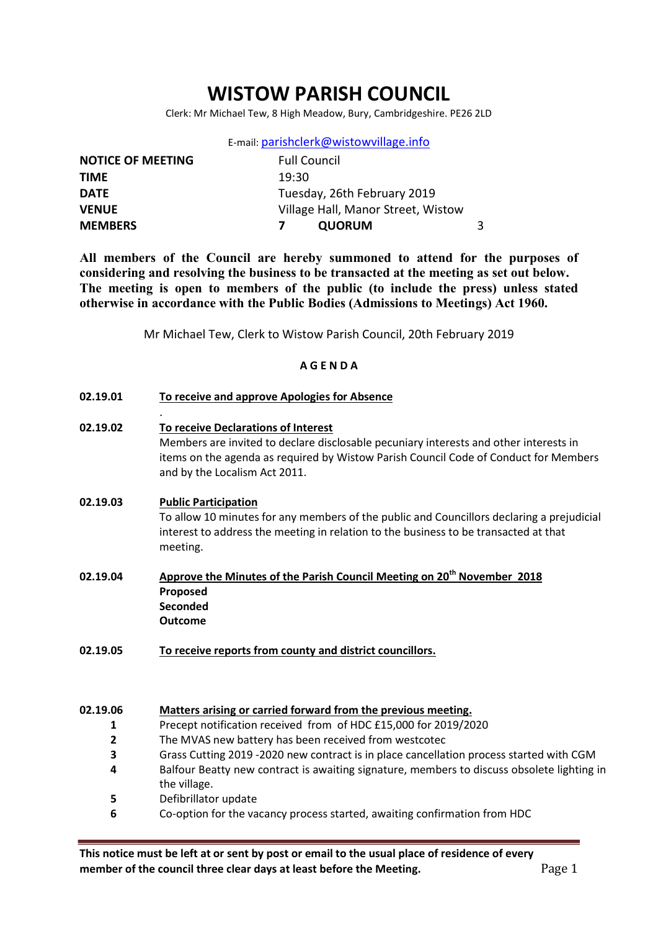# WISTOW PARISH COUNCIL

Clerk: Mr Michael Tew, 8 High Meadow, Bury, Cambridgeshire. PE26 2LD

| E-mail: parishclerk@wistowvillage.info |
|----------------------------------------|
|----------------------------------------|

| <b>NOTICE OF MEETING</b> | <b>Full Council</b>                |  |
|--------------------------|------------------------------------|--|
| <b>TIME</b>              | 19:30                              |  |
| <b>DATE</b>              | Tuesday, 26th February 2019        |  |
| <b>VENUE</b>             | Village Hall, Manor Street, Wistow |  |
| <b>MEMBERS</b>           | <b>QUORUM</b>                      |  |

All members of the Council are hereby summoned to attend for the purposes of considering and resolving the business to be transacted at the meeting as set out below. The meeting is open to members of the public (to include the press) unless stated otherwise in accordance with the Public Bodies (Admissions to Meetings) Act 1960.

Mr Michael Tew, Clerk to Wistow Parish Council, 20th February 2019

#### A G E N D A

| 02.19.01 | To receive and approve Apologies for Absence |
|----------|----------------------------------------------|
|          |                                              |

02.19.02 To receive Declarations of Interest Members are invited to declare disclosable pecuniary interests and other interests in items on the agenda as required by Wistow Parish Council Code of Conduct for Members and by the Localism Act 2011.

#### 02.19.03 Public Participation

.

To allow 10 minutes for any members of the public and Councillors declaring a prejudicial interest to address the meeting in relation to the business to be transacted at that meeting.

- 02.19.04 Approve the Minutes of the Parish Council Meeting on 20<sup>th</sup> November 2018 Proposed **Seconded** Outcome
- 02.19.05 To receive reports from county and district councillors.

#### 02.19.06 Matters arising or carried forward from the previous meeting.

- 1 Precept notification received from of HDC £15,000 for 2019/2020
- 2 The MVAS new battery has been received from westcotec
- 3 Grass Cutting 2019 -2020 new contract is in place cancellation process started with CGM
- 4 Balfour Beatty new contract is awaiting signature, members to discuss obsolete lighting in the village.
- 5 Defibrillator update
- 6 Co-option for the vacancy process started, awaiting confirmation from HDC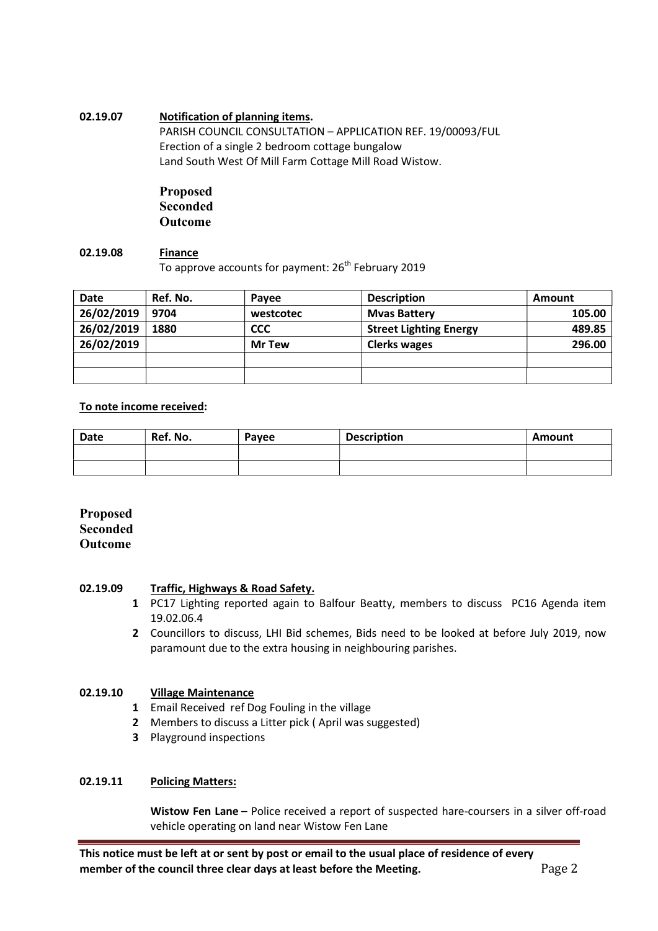### 02.19.07 Notification of planning items.

PARISH COUNCIL CONSULTATION – APPLICATION REF. 19/00093/FUL Erection of a single 2 bedroom cottage bungalow Land South West Of Mill Farm Cottage Mill Road Wistow.

# Proposed Seconded Outcome

#### 02.19.08 Finance To approve accounts for payment: 26<sup>th</sup> February 2019

| <b>Date</b> | Ref. No. | Pavee         | <b>Description</b>            | Amount |
|-------------|----------|---------------|-------------------------------|--------|
| 26/02/2019  | 9704     | westcotec     | <b>Myas Battery</b>           | 105.00 |
| 26/02/2019  | 1880     | <b>CCC</b>    | <b>Street Lighting Energy</b> | 489.85 |
| 26/02/2019  |          | <b>Mr Tew</b> | <b>Clerks wages</b>           | 296.00 |
|             |          |               |                               |        |
|             |          |               |                               |        |

### To note income received:

| <b>Date</b> | Ref. No. | Payee | <b>Description</b> | Amount |
|-------------|----------|-------|--------------------|--------|
|             |          |       |                    |        |
|             |          |       |                    |        |

### Proposed Seconded Outcome

#### 02.19.09 Traffic, Highways & Road Safety.

- 1 PC17 Lighting reported again to Balfour Beatty, members to discuss PC16 Agenda item 19.02.06.4
- 2 Councillors to discuss, LHI Bid schemes, Bids need to be looked at before July 2019, now paramount due to the extra housing in neighbouring parishes.

#### 02.19.10 Village Maintenance

- 1 Email Received ref Dog Fouling in the village
- 2 Members to discuss a Litter pick ( April was suggested)
- 3 Playground inspections

#### 02.19.11 Policing Matters:

Wistow Fen Lane – Police received a report of suspected hare-coursers in a silver off-road vehicle operating on land near Wistow Fen Lane